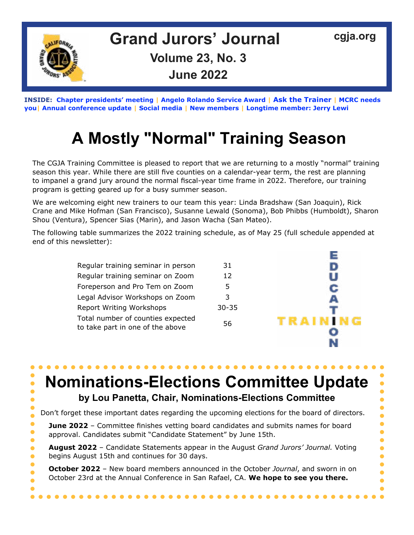

**INSIDE: [Chapter presidents' meeting](#page-1-0) | [Angelo Rolando Service Awar](#page-2-0)d | [Ask the Traine](#page-3-0)[r](#page-3-1) | [MCRC needs](#page-4-0)  you| A[nnual conference updat](#page-5-0)e | [Social media](#page-6-0) | [New membe](#page-6-0)rs | [Longtime member: Jerry Lewi](#page-7-0)**

# **A Mostly "Normal" Training Season**

The CGJA Training Committee is pleased to report that we are returning to a mostly "normal" training season this year. While there are still five counties on a calendar-year term, the rest are planning to impanel a grand jury around the normal fiscal-year time frame in 2022. Therefore, our training program is getting geared up for a busy summer season.

We are welcoming eight new trainers to our team this year: Linda Bradshaw (San Joaquin), Rick Crane and Mike Hofman (San Francisco), Susanne Lewald (Sonoma), Bob Phibbs (Humboldt), Sharon Shou (Ventura), Spencer Sias (Marin), and Jason Wacha (San Mateo).

The following table summarizes the 2022 training schedule, as of May 25 (full schedule appended at end of this newsletter):

| Regular training seminar in person                                    | 31        |      |
|-----------------------------------------------------------------------|-----------|------|
| Regular training seminar on Zoom                                      | 12        |      |
| Foreperson and Pro Tem on Zoom                                        | 5         |      |
| Legal Advisor Workshops on Zoom                                       | 3         |      |
| Report Writing Workshops                                              | $30 - 35$ |      |
| Total number of counties expected<br>to take part in one of the above | 56        | TRAI |
|                                                                       |           |      |

Е

N

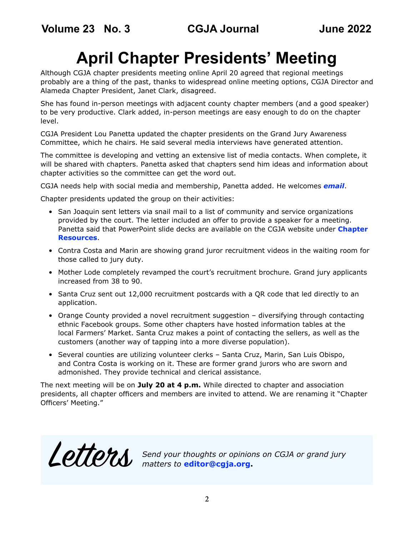# **April Chapter Presidents' Meeting**

<span id="page-1-0"></span>Although CGJA chapter presidents meeting online April 20 agreed that regional meetings probably are a thing of the past, thanks to widespread online meeting options, CGJA Director and Alameda Chapter President, Janet Clark, disagreed.

She has found in-person meetings with adjacent county chapter members (and a good speaker) to be very productive. Clark added, in-person meetings are easy enough to do on the chapter level.

CGJA President Lou Panetta updated the chapter presidents on the Grand Jury Awareness Committee, which he chairs. He said several media interviews have generated attention.

The committee is developing and vetting an extensive list of media contacts. When complete, it will be shared with chapters. Panetta asked that chapters send him ideas and information about chapter activities so the committee can get the word out.

CGJA needs help with social media and membership, Panetta added. He welcomes *[email](mailto:lpanetta%40yahoo.com?subject=CGJA%20presidents%27%20meeting)*.

Chapter presidents updated the group on their activities:

- San Joaquin sent letters via snail mail to a list of community and service organizations provided by the court. The letter included an offer to provide a speaker for a meeting. Panetta said that PowerPoint slide decks are available on the CGJA website under **[Chapter](https://cgja.org/chapter-resource-documents)  [Resources](https://cgja.org/chapter-resource-documents)**.
- Contra Costa and Marin are showing grand juror recruitment videos in the waiting room for those called to jury duty.
- Mother Lode completely revamped the court's recruitment brochure. Grand jury applicants increased from 38 to 90.
- Santa Cruz sent out 12,000 recruitment postcards with a QR code that led directly to an application.
- Orange County provided a novel recruitment suggestion diversifying through contacting ethnic Facebook groups. Some other chapters have hosted information tables at the local Farmers' Market. Santa Cruz makes a point of contacting the sellers, as well as the customers (another way of tapping into a more diverse population).
- Several counties are utilizing volunteer clerks Santa Cruz, Marin, San Luis Obispo, and Contra Costa is working on it. These are former grand jurors who are sworn and admonished. They provide technical and clerical assistance.

The next meeting will be on **July 20 at 4 p.m.** While directed to chapter and association presidents, all chapter officers and members are invited to attend. We are renaming it "Chapter Officers' Meeting."

Letters *Send your thoughts or opinions on CGJA or grand jury*<br> **Letters** *inatters to editor@cgja.org*. *matters to* **editor@cgja.org.**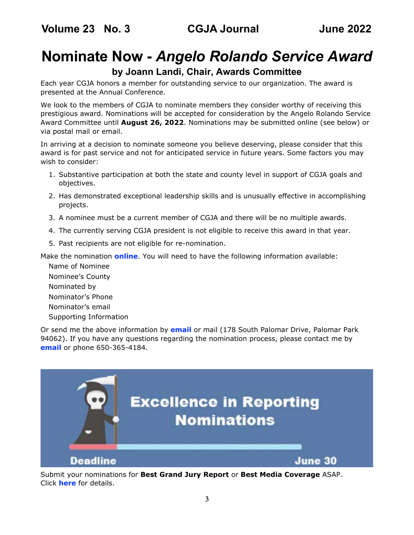## <span id="page-2-0"></span>**Nominate Now -** *Angelo Rolando Service Award*

## **by Joann Landi, Chair, Awards Committee**

Each year CGJA honors a member for outstanding service to our organization. The award is presented at the Annual Conference.

We look to the members of CGJA to nominate members they consider worthy of receiving this prestigious award. Nominations will be accepted for consideration by the Angelo Rolando Service Award Committee until **August 26, 2022**. Nominations may be submitted online (see below) or via postal mail or email.

In arriving at a decision to nominate someone you believe deserving, please consider that this award is for past service and not for anticipated service in future years. Some factors you may wish to consider:

- 1. Substantive participation at both the state and county level in support of CGJA goals and objectives.
- 2. Has demonstrated exceptional leadership skills and is unusually effective in accomplishing projects.
- 3. A nominee must be a current member of CGJA and there will be no multiple awards.
- 4. The currently serving CGJA president is not eligible to receive this award in that year.
- 5. Past recipients are not eligible for re-nomination.

Make the nomination **[online](https://cgja.org/form/rolando-award-nomination)**. You will need to have the following information available:

Name of Nominee Nominee's County Nominated by Nominator's Phone Nominator's email Supporting Information

Or send me the above information by **[email](mailto:%20joannelandi%40aol.com?subject=)** or mail (178 South Palomar Drive, Palomar Park 94062). If you have any questions regarding the nomination process, please contact me by **[email](mailto:%20joannelandi%40aol.com?subject=CGJA%20Rolando%20Award)** or phone 650-365-4184.



Submit your nominations for **Best Grand Jury Report** or **Best Media Coverage** ASAP. Click **[here](https://cgja.org/excellence-reporting-award)** for details.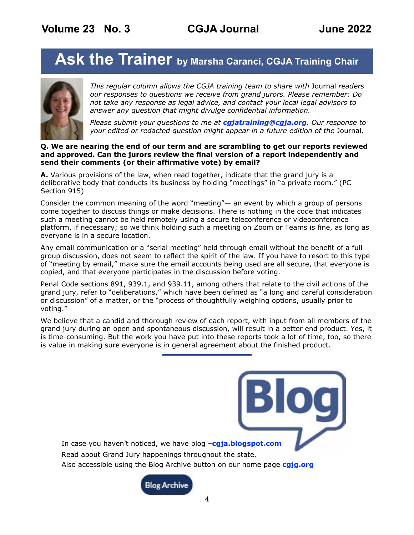## <span id="page-3-1"></span><span id="page-3-0"></span>Ask the Trainer by Marsha Caranci, CGJA Training Chair



*This regular column allows the CGJA training team to share with* Journal *readers our responses to questions we receive from grand jurors. Please remember: Do not take any response as legal advice, and contact your local legal advisors to answer any question that might divulge confidential information.* 

*Please submit your questions to me at [cgjatraining@cgja.org](mailto:cgjatraining%40cgja.org?subject=CGJA%20Training). Our response to your edited or redacted question might appear in a future edition of the* Journal.

### **Q. We are nearing the end of our term and are scrambling to get our reports reviewed and approved. Can the jurors review the final version of a report independently and send their comments (or their affirmative vote) by email?**

**A.** Various provisions of the law, when read together, indicate that the grand jury is a deliberative body that conducts its business by holding "meetings" in "a private room." (PC Section 915)

Consider the common meaning of the word "meeting"— an event by which a group of persons come together to discuss things or make decisions. There is nothing in the code that indicates such a meeting cannot be held remotely using a secure teleconference or videoconference platform, if necessary; so we think holding such a meeting on Zoom or Teams is fine, as long as everyone is in a secure location.

Any email communication or a "serial meeting" held through email without the benefit of a full group discussion, does not seem to reflect the spirit of the law. If you have to resort to this type of "meeting by email," make sure the email accounts being used are all secure, that everyone is copied, and that everyone participates in the discussion before voting.

Penal Code sections 891, 939.1, and 939.11, among others that relate to the civil actions of the grand jury, refer to "deliberations," which have been defined as "a long and careful consideration or discussion" of a matter, or the "process of thoughtfully weighing options, usually prior to voting."

We believe that a candid and thorough review of each report, with input from all members of the grand jury during an open and spontaneous discussion, will result in a better end product. Yes, it is time-consuming. But the work you have put into these reports took a lot of time, too, so there is value in making sure everyone is in general agreement about the finished product.

In case you haven't noticed, we have blog –**[cgja.blogspot.com](https://cgja.blogspot.com/)** Read about Grand Jury happenings throughout the state. Also accessible using the Blog Archive button on our home page **[cgjg.org](https://cgja.org/)**

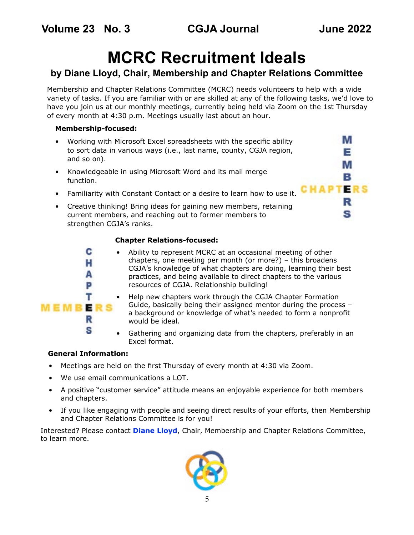IМ Е M в

> в s

**CHAPTERS** 

# **MCRC Recruitment Ideals**

## <span id="page-4-0"></span>**by Diane Lloyd, Chair, Membership and Chapter Relations Committee**

Membership and Chapter Relations Committee (MCRC) needs volunteers to help with a wide variety of tasks. If you are familiar with or are skilled at any of the following tasks, we'd love to have you join us at our monthly meetings, currently being held via Zoom on the 1st Thursday of every month at 4:30 p.m. Meetings usually last about an hour.

### **Membership-focused:**

- Working with Microsoft Excel spreadsheets with the specific ability to sort data in various ways (i.e., last name, county, CGJA region, and so on).
- Knowledgeable in using Microsoft Word and its mail merge function.
- Familiarity with Constant Contact or a desire to learn how to use it.
- Creative thinking! Bring ideas for gaining new members, retaining current members, and reaching out to former members to strengthen CGJA's ranks.

### **Chapter Relations-focused:**



- Ability to represent MCRC at an occasional meeting of other chapters, one meeting per month (or more?) – this broadens CGJA's knowledge of what chapters are doing, learning their best practices, and being available to direct chapters to the various resources of CGJA. Relationship building!
	- Help new chapters work through the CGJA Chapter Formation Guide, basically being their assigned mentor during the process – a background or knowledge of what's needed to form a nonprofit would be ideal.
- Gathering and organizing data from the chapters, preferably in an Excel format.

### **General Information:**

- Meetings are held on the first Thursday of every month at 4:30 via Zoom.
- We use email communications a LOT.
- A positive "customer service" attitude means an enjoyable experience for both members and chapters.
- If you like engaging with people and seeing direct results of your efforts, then Membership and Chapter Relations Committee is for you!

Interested? Please contact **[Diane Lloyd](mailto:membership%40cgja.org?subject=CGJA%20MCRC)**, Chair, Membership and Chapter Relations Committee, to learn more.

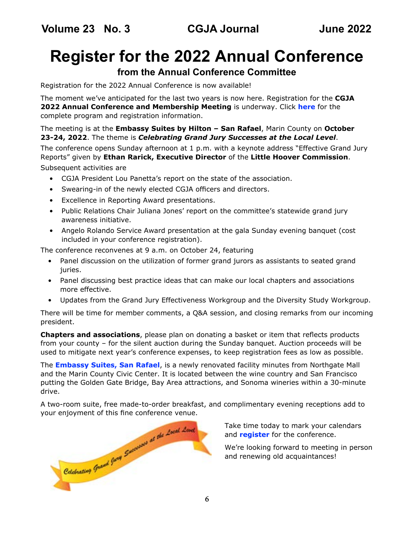# <span id="page-5-0"></span>**Register for the 2022 Annual Conference**

## **from the Annual Conference Committee**

Registration for the 2022 Annual Conference is now available!

The moment we've anticipated for the last two years is now here. Registration for the **CGJA 2022 Annual Conference and Membership Meeting** is underway. Click **[here](https://cgja.org/annual-conference)** for the complete program and registration information.

The meeting is at the **Embassy Suites by Hilton – San Rafael**, Marin County on **October 23-24, 2022**. The theme is *Celebrating Grand Jury Successes at the Local Level*.

The conference opens Sunday afternoon at 1 p.m. with a keynote address "Effective Grand Jury Reports" given by **Ethan Rarick, Executive Director** of the **Little Hoover Commission**. Subsequent activities are

- CGJA President Lou Panetta's report on the state of the association.
- Swearing-in of the newly elected CGJA officers and directors.
- Excellence in Reporting Award presentations.
- Public Relations Chair Juliana Jones' report on the committee's statewide grand jury awareness initiative.
- Angelo Rolando Service Award presentation at the gala Sunday evening banquet (cost included in your conference registration).

The conference reconvenes at 9 a.m. on October 24, featuring

- Panel discussion on the utilization of former grand jurors as assistants to seated grand juries.
- Panel discussing best practice ideas that can make our local chapters and associations more effective.
- Updates from the Grand Jury Effectiveness Workgroup and the Diversity Study Workgroup.

There will be time for member comments, a Q&A session, and closing remarks from our incoming president.

**Chapters and associations**, please plan on donating a basket or item that reflects products from your county – for the silent auction during the Sunday banquet. Auction proceeds will be used to mitigate next year's conference expenses, to keep registration fees as low as possible.

The **[Embassy Suites, San Rafael](https://www.hilton.com/en/book/reservation/rooms/?ctyhocn=SFORFES&arrivalDate=2022-10-22&departureDate=2022-10-24&room1NumAdults=1&cid=OM%2CWW%2CHILTONLINK%2CEN%2CDirectLink)**, is a newly renovated facility minutes from Northgate Mall and the Marin County Civic Center. It is located between the wine country and San Francisco putting the Golden Gate Bridge, Bay Area attractions, and Sonoma wineries within a 30-minute drive.

A two-room suite, free made-to-order breakfast, and complimentary evening receptions add to



Take time today to mark your calendars and **[register](https://www.cgja.org/annual-conference-0)** for the conference.

We're looking forward to meeting in person and renewing old acquaintances!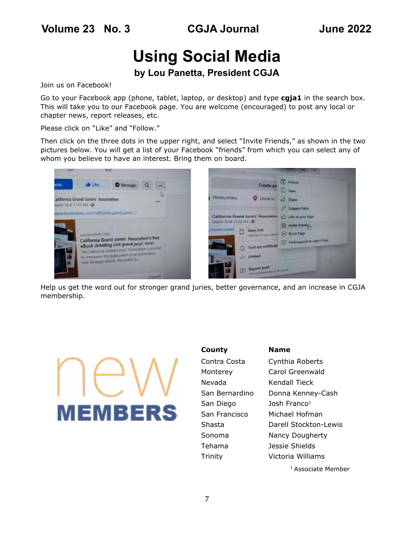# **Using Social Media**

## **by Lou Panetta, President CGJA**

<span id="page-6-0"></span>Join us on Facebook!

Go to your Facebook app (phone, tablet, laptop, or desktop) and type **cgja1** in the search box. This will take you to our Facebook page. You are welcome (encouraged) to post any local or chapter news, report releases, etc.

Please click on "Like" and "Follow."

Then click on the three dots in the upper right, and select "Invite Friends," as shown in the two pictures below. You will get a list of your Facebook "friends" from which you can select any of whom you believe to have an interest. Bring them on board.



Help us get the word out for stronger grand juries, better governance, and an increase in CGJA membership.



**County Name** Nevada Kendall Tieck San Diego Josh Franco<sup>1</sup> Tehama Jessie Shields

Contra Costa Cynthia Roberts Monterey Carol Greenwald San Bernardino Donna Kenney-Cash San Francisco Michael Hofman Shasta Darell Stockton-Lewis Sonoma Nancy Dougherty Trinity Victoria Williams

<sup>1</sup> Associate Member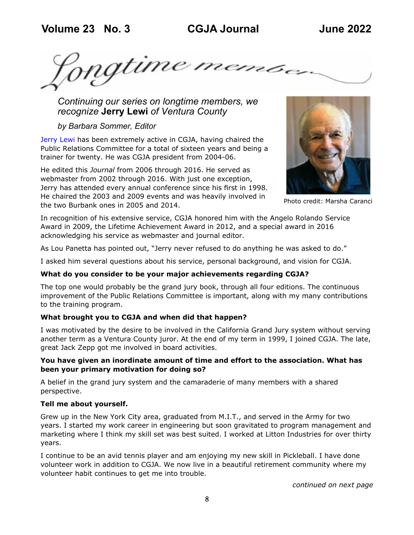<span id="page-7-0"></span>Ingtime memore

*Continuing our series on longtime members, we recognize* **Jerry Lewi** *of Ventura County*

*by Barbara Sommer, Editor*

[Jerry Lewi ha](https://www.jblewi.com/)s been extremely active in CGJA, having chaired the Public Relations Committee for a total of sixteen years and being a trainer for twenty. He was CGJA president from 2004-06.

He edited this *Journal* from 2006 through 2016. He served as webmaster from 2002 through 2016. With just one exception, Jerry has attended every annual conference since his first in 1998. He chaired the 2003 and 2009 events and was heavily involved in the two Burbank ones in 2005 and 2014.



Photo credit: Marsha Caranci

In recognition of his extensive service, CGJA honored him with the Angelo Rolando Service Award in 2009, the Lifetime Achievement Award in 2012, and a special award in 2016 acknowledging his service as webmaster and journal editor.

As Lou Panetta has pointed out, "Jerry never refused to do anything he was asked to do."

I asked him several questions about his service, personal background, and vision for CGJA.

### **What do you consider to be your major achievements regarding CGJA?**

The top one would probably be the grand jury book, through all four editions. The continuous improvement of the Public Relations Committee is important, along with my many contributions to the training program.

### **What brought you to CGJA and when did that happen?**

I was motivated by the desire to be involved in the California Grand Jury system without serving another term as a Ventura County juror. At the end of my term in 1999, I joined CGJA. The late, great Jack Zepp got me involved in board activities.

### **You have given an inordinate amount of time and effort to the association. What has been your primary motivation for doing so?**

A belief in the grand jury system and the camaraderie of many members with a shared perspective.

### **Tell me about yourself.**

Grew up in the New York City area, graduated from M.I.T., and served in the Army for two years. I started my work career in engineering but soon gravitated to program management and marketing where I think my skill set was best suited. I worked at Litton Industries for over thirty years.

I continue to be an avid tennis player and am enjoying my new skill in Pickleball. I have done volunteer work in addition to CGJA. We now live in a beautiful retirement community where my volunteer habit continues to get me into trouble.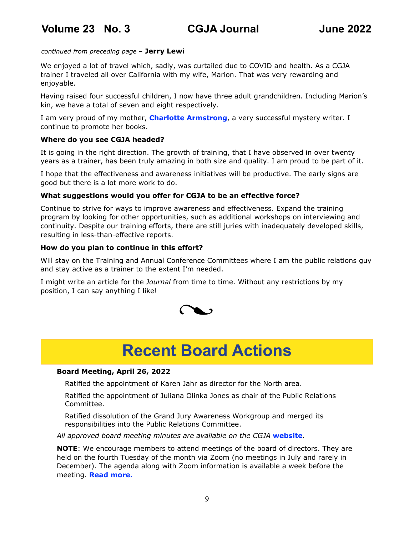### *continued from preceding page* – **Jerry Lewi**

We enjoyed a lot of travel which, sadly, was curtailed due to COVID and health. As a CGJA trainer I traveled all over California with my wife, Marion. That was very rewarding and enjoyable.

Having raised four successful children, I now have three adult grandchildren. Including Marion's kin, we have a total of seven and eight respectively.

I am very proud of my mother, **[Charlotte Armstrong](https://www.charlottearmstrong.org)**, a very successful mystery writer. I continue to promote her books.

### **Where do you see CGJA headed?**

It is going in the right direction. The growth of training, that I have observed in over twenty years as a trainer, has been truly amazing in both size and quality. I am proud to be part of it.

I hope that the effectiveness and awareness initiatives will be productive. The early signs are good but there is a lot more work to do.

### **What suggestions would you offer for CGJA to be an effective force?**

Continue to strive for ways to improve awareness and effectiveness. Expand the training program by looking for other opportunities, such as additional workshops on interviewing and continuity. Despite our training efforts, there are still juries with inadequately developed skills, resulting in less-than-effective reports.

### **How do you plan to continue in this effort?**

Will stay on the Training and Annual Conference Committees where I am the public relations guy and stay active as a trainer to the extent I'm needed.

I might write an article for the *Journal* from time to time. Without any restrictions by my position, I can say anything I like!



## **Recent Board Actions**

### **Board Meeting, April 26, 2022**

Ratified the appointment of Karen Jahr as director for the North area.

Ratified the appointment of Juliana Olinka Jones as chair of the Public Relations Committee.

Ratified dissolution of the Grand Jury Awareness Workgroup and merged its responsibilities into the Public Relations Committee.

*All approved board meeting minutes are available on the CGJA* **[website](https://cgja.org/board-minutes)***.*

**NOTE**: We encourage members to attend meetings of the board of directors. They are held on the fourth Tuesday of the month via Zoom (no meetings in July and rarely in December). The agenda along with Zoom information is available a week before the meeting. **[Read more.](https://cgja.org/current-agenda)**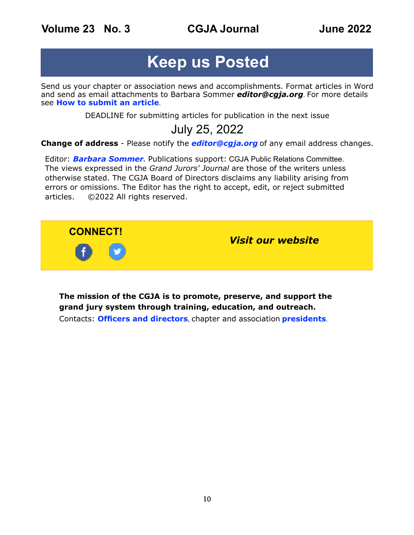**Volume 23 No. 3 CGJA Journal June 2022**

## **Keep us Posted**

Send us your chapter or association news and accomplishments. Format articles in Word and send as email attachments to Barbara Sommer *[editor@cgja.org](mailto:editor@cgja.org)*. For more details see **[How to submit an article](https://cgja.org/node/134)**.

DEADLINE for submitting articles for publication in the next issue

## July 25, 2022

**Change of address** - Please notify the *[editor@cgja.org](mailto:editor%40cgja.org?subject=)* of any email address changes.

Editor: *[Barbara Sommer](mailto:Barbara%20Sommer?subject=CGJA%20Grand%20Jurors%27%20Journal)*. Publications support: CGJA Public Relations Committee. The views expressed in the *Grand Jurors' Journal* are those of the writers unless otherwise stated. The CGJA Board of Directors disclaims any liability arising from errors or omissions. The Editor has the right to accept, edit, or reject submitted articles. ©2022 All rights reserved.



**The mission of the CGJA is to promote, preserve, and support the grand jury system through training, education, and outreach.** Contacts: **[Officers and directors](https://cgja.org/officers-directors)**, chapter and association **[presidents](https://cgja.org/chapters-and-associations)**.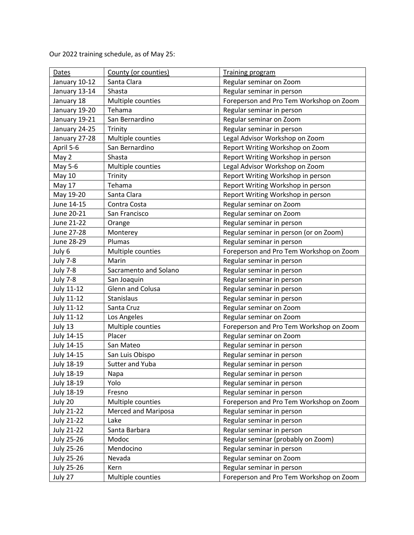| Dates             | County (or counties)       | <b>Training program</b>                 |
|-------------------|----------------------------|-----------------------------------------|
| January 10-12     | Santa Clara                | Regular seminar on Zoom                 |
| January 13-14     | Shasta                     | Regular seminar in person               |
| January 18        | Multiple counties          | Foreperson and Pro Tem Workshop on Zoom |
| January 19-20     | Tehama                     | Regular seminar in person               |
| January 19-21     | San Bernardino             | Regular seminar on Zoom                 |
| January 24-25     | Trinity                    | Regular seminar in person               |
| January 27-28     | Multiple counties          | Legal Advisor Workshop on Zoom          |
| April 5-6         | San Bernardino             | Report Writing Workshop on Zoom         |
| May 2             | Shasta                     | Report Writing Workshop in person       |
| May 5-6           | Multiple counties          | Legal Advisor Workshop on Zoom          |
| <b>May 10</b>     | Trinity                    | Report Writing Workshop in person       |
| May 17            | Tehama                     | Report Writing Workshop in person       |
| May 19-20         | Santa Clara                | Report Writing Workshop in person       |
| June 14-15        | Contra Costa               | Regular seminar on Zoom                 |
| June 20-21        | San Francisco              | Regular seminar on Zoom                 |
| June 21-22        | Orange                     | Regular seminar in person               |
| June 27-28        | Monterey                   | Regular seminar in person (or on Zoom)  |
| June 28-29        | Plumas                     | Regular seminar in person               |
| July 6            | Multiple counties          | Foreperson and Pro Tem Workshop on Zoom |
| <b>July 7-8</b>   | Marin                      | Regular seminar in person               |
| <b>July 7-8</b>   | Sacramento and Solano      | Regular seminar in person               |
| <b>July 7-8</b>   | San Joaquin                | Regular seminar in person               |
| <b>July 11-12</b> | Glenn and Colusa           | Regular seminar in person               |
| July 11-12        | Stanislaus                 | Regular seminar in person               |
| July 11-12        | Santa Cruz                 | Regular seminar on Zoom                 |
| <b>July 11-12</b> | Los Angeles                | Regular seminar on Zoom                 |
| July 13           | Multiple counties          | Foreperson and Pro Tem Workshop on Zoom |
| July 14-15        | Placer                     | Regular seminar on Zoom                 |
| July 14-15        | San Mateo                  | Regular seminar in person               |
| July 14-15        | San Luis Obispo            | Regular seminar in person               |
| <b>July 18-19</b> | Sutter and Yuba            | Regular seminar in person               |
| July 18-19        | Napa                       | Regular seminar in person               |
| July 18-19        | Yolo                       | Regular seminar in person               |
| <b>July 18-19</b> | Fresno                     | Regular seminar in person               |
| July 20           | Multiple counties          | Foreperson and Pro Tem Workshop on Zoom |
| <b>July 21-22</b> | <b>Merced and Mariposa</b> | Regular seminar in person               |
| <b>July 21-22</b> | Lake                       | Regular seminar in person               |
| <b>July 21-22</b> | Santa Barbara              | Regular seminar in person               |
| <b>July 25-26</b> | Modoc                      | Regular seminar (probably on Zoom)      |
| July 25-26        | Mendocino                  | Regular seminar in person               |
| July 25-26        | Nevada                     | Regular seminar on Zoom                 |
| <b>July 25-26</b> | Kern                       | Regular seminar in person               |
| July 27           | Multiple counties          | Foreperson and Pro Tem Workshop on Zoom |

Our 2022 training schedule, as of May 25: